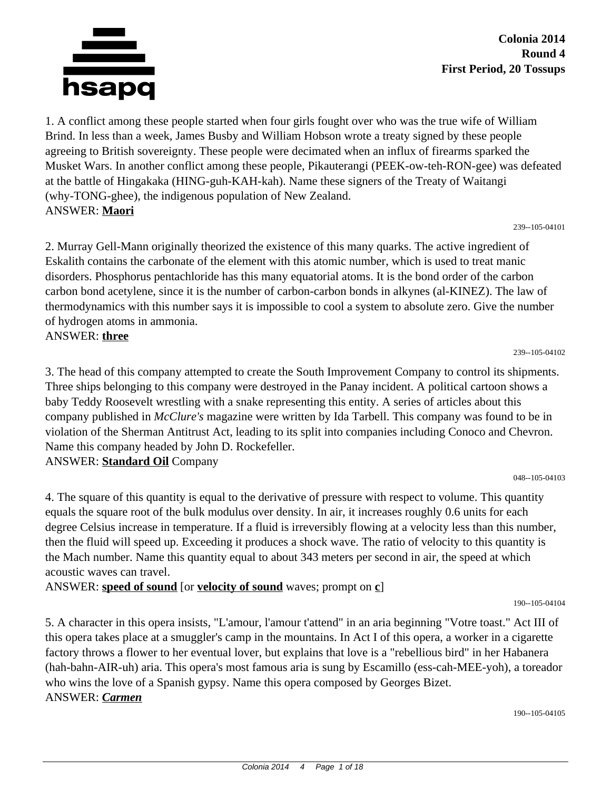

1. A conflict among these people started when four girls fought over who was the true wife of William Brind. In less than a week, James Busby and William Hobson wrote a treaty signed by these people agreeing to British sovereignty. These people were decimated when an influx of firearms sparked the Musket Wars. In another conflict among these people, Pikauterangi (PEEK-ow-teh-RON-gee) was defeated at the battle of Hingakaka (HING-guh-KAH-kah). Name these signers of the Treaty of Waitangi (why-TONG-ghee), the indigenous population of New Zealand. ANSWER: **Maori**

239--105-04101

239--105-04102

048--105-04103

2. Murray Gell-Mann originally theorized the existence of this many quarks. The active ingredient of Eskalith contains the carbonate of the element with this atomic number, which is used to treat manic disorders. Phosphorus pentachloride has this many equatorial atoms. It is the bond order of the carbon carbon bond acetylene, since it is the number of carbon-carbon bonds in alkynes (al-KINEZ). The law of thermodynamics with this number says it is impossible to cool a system to absolute zero. Give the number of hydrogen atoms in ammonia.

ANSWER: **three**

3. The head of this company attempted to create the South Improvement Company to control its shipments. Three ships belonging to this company were destroyed in the Panay incident. A political cartoon shows a baby Teddy Roosevelt wrestling with a snake representing this entity. A series of articles about this company published in *McClure's* magazine were written by Ida Tarbell. This company was found to be in violation of the Sherman Antitrust Act, leading to its split into companies including Conoco and Chevron. Name this company headed by John D. Rockefeller.

ANSWER: **Standard Oil** Company

4. The square of this quantity is equal to the derivative of pressure with respect to volume. This quantity equals the square root of the bulk modulus over density. In air, it increases roughly 0.6 units for each degree Celsius increase in temperature. If a fluid is irreversibly flowing at a velocity less than this number, then the fluid will speed up. Exceeding it produces a shock wave. The ratio of velocity to this quantity is the Mach number. Name this quantity equal to about 343 meters per second in air, the speed at which acoustic waves can travel.

ANSWER: **speed of sound** [or **velocity of sound** waves; prompt on **c**]

190--105-04104

5. A character in this opera insists, "L'amour, l'amour t'attend" in an aria beginning "Votre toast." Act III of this opera takes place at a smuggler's camp in the mountains. In Act I of this opera, a worker in a cigarette factory throws a flower to her eventual lover, but explains that love is a "rebellious bird" in her Habanera (hah-bahn-AIR-uh) aria. This opera's most famous aria is sung by Escamillo (ess-cah-MEE-yoh), a toreador who wins the love of a Spanish gypsy. Name this opera composed by Georges Bizet. ANSWER: *Carmen*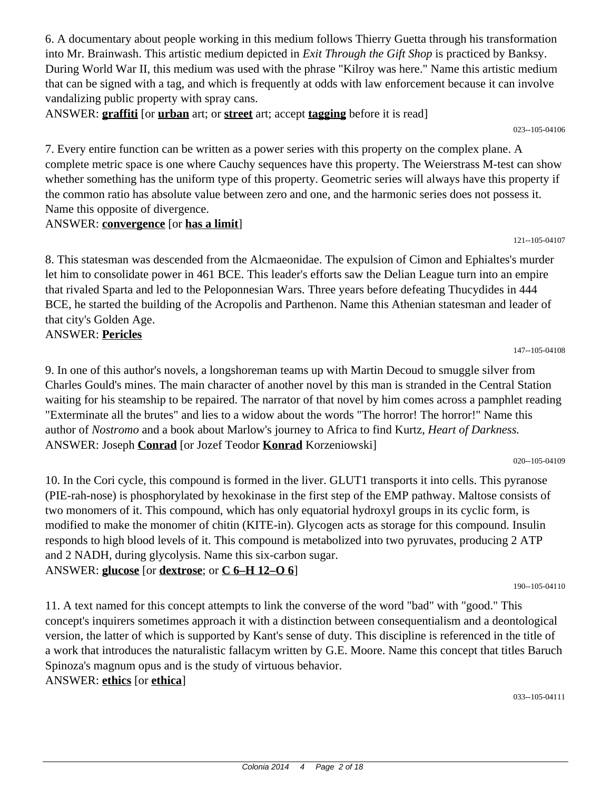6. A documentary about people working in this medium follows Thierry Guetta through his transformation into Mr. Brainwash. This artistic medium depicted in *Exit Through the Gift Shop* is practiced by Banksy. During World War II, this medium was used with the phrase "Kilroy was here." Name this artistic medium that can be signed with a tag, and which is frequently at odds with law enforcement because it can involve vandalizing public property with spray cans.

ANSWER: **graffiti** [or **urban** art; or **street** art; accept **tagging** before it is read]

7. Every entire function can be written as a power series with this property on the complex plane. A complete metric space is one where Cauchy sequences have this property. The Weierstrass M-test can show whether something has the uniform type of this property. Geometric series will always have this property if the common ratio has absolute value between zero and one, and the harmonic series does not possess it. Name this opposite of divergence.

#### ANSWER: **convergence** [or **has a limit**]

8. This statesman was descended from the Alcmaeonidae. The expulsion of Cimon and Ephialtes's murder let him to consolidate power in 461 BCE. This leader's efforts saw the Delian League turn into an empire that rivaled Sparta and led to the Peloponnesian Wars. Three years before defeating Thucydides in 444 BCE, he started the building of the Acropolis and Parthenon. Name this Athenian statesman and leader of that city's Golden Age.

ANSWER: **Pericles**

9. In one of this author's novels, a longshoreman teams up with Martin Decoud to smuggle silver from Charles Gould's mines. The main character of another novel by this man is stranded in the Central Station waiting for his steamship to be repaired. The narrator of that novel by him comes across a pamphlet reading "Exterminate all the brutes" and lies to a widow about the words "The horror! The horror!" Name this author of *Nostromo* and a book about Marlow's journey to Africa to find Kurtz, *Heart of Darkness.* ANSWER: Joseph **Conrad** [or Jozef Teodor **Konrad** Korzeniowski]

020--105-04109

10. In the Cori cycle, this compound is formed in the liver. GLUT1 transports it into cells. This pyranose (PIE-rah-nose) is phosphorylated by hexokinase in the first step of the EMP pathway. Maltose consists of two monomers of it. This compound, which has only equatorial hydroxyl groups in its cyclic form, is modified to make the monomer of chitin (KITE-in). Glycogen acts as storage for this compound. Insulin responds to high blood levels of it. This compound is metabolized into two pyruvates, producing 2 ATP and 2 NADH, during glycolysis. Name this six-carbon sugar.

ANSWER: **glucose** [or **dextrose**; or **C 6–H 12–O 6**]

11. A text named for this concept attempts to link the converse of the word "bad" with "good." This concept's inquirers sometimes approach it with a distinction between consequentialism and a deontological version, the latter of which is supported by Kant's sense of duty. This discipline is referenced in the title of a work that introduces the naturalistic fallacym written by G.E. Moore. Name this concept that titles Baruch Spinoza's magnum opus and is the study of virtuous behavior.

#### ANSWER: **ethics** [or **ethica**]

033--105-04111

190--105-04110

147--105-04108

023--105-04106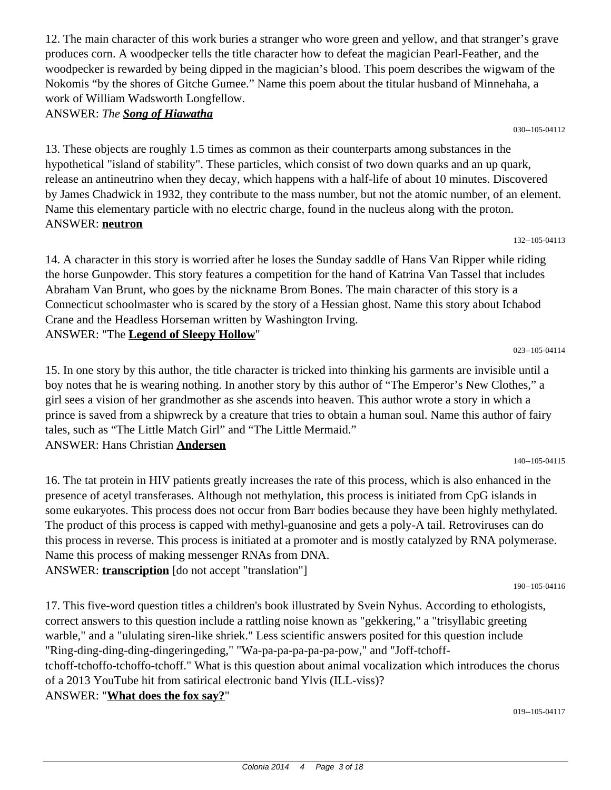12. The main character of this work buries a stranger who wore green and yellow, and that stranger's grave produces corn. A woodpecker tells the title character how to defeat the magician Pearl-Feather, and the woodpecker is rewarded by being dipped in the magician's blood. This poem describes the wigwam of the Nokomis "by the shores of Gitche Gumee." Name this poem about the titular husband of Minnehaha, a work of William Wadsworth Longfellow.

ANSWER: *The Song of Hiawatha*

13. These objects are roughly 1.5 times as common as their counterparts among substances in the hypothetical "island of stability". These particles, which consist of two down quarks and an up quark, release an antineutrino when they decay, which happens with a half-life of about 10 minutes. Discovered by James Chadwick in 1932, they contribute to the mass number, but not the atomic number, of an element. Name this elementary particle with no electric charge, found in the nucleus along with the proton. ANSWER: **neutron**

14. A character in this story is worried after he loses the Sunday saddle of Hans Van Ripper while riding the horse Gunpowder. This story features a competition for the hand of Katrina Van Tassel that includes Abraham Van Brunt, who goes by the nickname Brom Bones. The main character of this story is a Connecticut schoolmaster who is scared by the story of a Hessian ghost. Name this story about Ichabod Crane and the Headless Horseman written by Washington Irving. ANSWER: "The **Legend of Sleepy Hollow**"

15. In one story by this author, the title character is tricked into thinking his garments are invisible until a boy notes that he is wearing nothing. In another story by this author of "The Emperor's New Clothes," a girl sees a vision of her grandmother as she ascends into heaven. This author wrote a story in which a prince is saved from a shipwreck by a creature that tries to obtain a human soul. Name this author of fairy tales, such as "The Little Match Girl" and "The Little Mermaid." ANSWER: Hans Christian **Andersen**

16. The tat protein in HIV patients greatly increases the rate of this process, which is also enhanced in the presence of acetyl transferases. Although not methylation, this process is initiated from CpG islands in some eukaryotes. This process does not occur from Barr bodies because they have been highly methylated. The product of this process is capped with methyl-guanosine and gets a poly-A tail. Retroviruses can do this process in reverse. This process is initiated at a promoter and is mostly catalyzed by RNA polymerase. Name this process of making messenger RNAs from DNA. ANSWER: **transcription** [do not accept "translation"]

17. This five-word question titles a children's book illustrated by Svein Nyhus. According to ethologists, correct answers to this question include a rattling noise known as "gekkering," a "trisyllabic greeting warble," and a "ululating siren-like shriek." Less scientific answers posited for this question include "Ring-ding-ding-ding-dingeringeding," "Wa-pa-pa-pa-pa-pa-pow," and "Joff-tchofftchoff-tchoffo-tchoffo-tchoff." What is this question about animal vocalization which introduces the chorus of a 2013 YouTube hit from satirical electronic band Ylvis (ILL-viss)? ANSWER: "**What does the fox say?**"

023--105-04114

140--105-04115

190--105-04116

#### 030--105-04112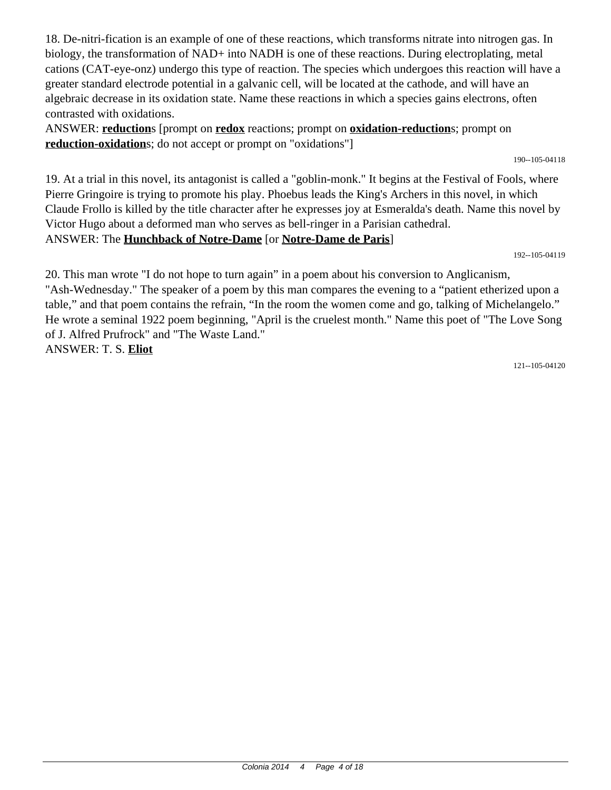18. De-nitri-fication is an example of one of these reactions, which transforms nitrate into nitrogen gas. In biology, the transformation of NAD+ into NADH is one of these reactions. During electroplating, metal cations (CAT-eye-onz) undergo this type of reaction. The species which undergoes this reaction will have a greater standard electrode potential in a galvanic cell, will be located at the cathode, and will have an algebraic decrease in its oxidation state. Name these reactions in which a species gains electrons, often contrasted with oxidations.

ANSWER: **reduction**s [prompt on **redox** reactions; prompt on **oxidation-reduction**s; prompt on **reduction-oxidation**s; do not accept or prompt on "oxidations"]

190--105-04118

19. At a trial in this novel, its antagonist is called a "goblin-monk." It begins at the Festival of Fools, where Pierre Gringoire is trying to promote his play. Phoebus leads the King's Archers in this novel, in which Claude Frollo is killed by the title character after he expresses joy at Esmeralda's death. Name this novel by Victor Hugo about a deformed man who serves as bell-ringer in a Parisian cathedral. ANSWER: The **Hunchback of Notre-Dame** [or **Notre-Dame de Paris**]

192--105-04119

20. This man wrote "I do not hope to turn again" in a poem about his conversion to Anglicanism, "Ash-Wednesday." The speaker of a poem by this man compares the evening to a "patient etherized upon a table," and that poem contains the refrain, "In the room the women come and go, talking of Michelangelo." He wrote a seminal 1922 poem beginning, "April is the cruelest month." Name this poet of "The Love Song of J. Alfred Prufrock" and "The Waste Land." ANSWER: T. S. **Eliot**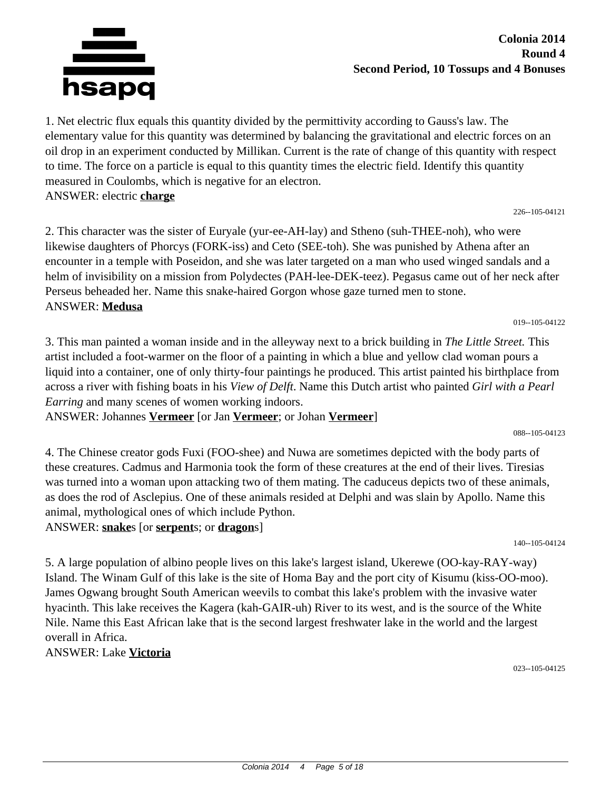

#### **Colonia 2014 Round 4 Second Period, 10 Tossups and 4 Bonuses**

1. Net electric flux equals this quantity divided by the permittivity according to Gauss's law. The elementary value for this quantity was determined by balancing the gravitational and electric forces on an oil drop in an experiment conducted by Millikan. Current is the rate of change of this quantity with respect to time. The force on a particle is equal to this quantity times the electric field. Identify this quantity measured in Coulombs, which is negative for an electron. ANSWER: electric **charge**

226--105-04121

2. This character was the sister of Euryale (yur-ee-AH-lay) and Stheno (suh-THEE-noh), who were likewise daughters of Phorcys (FORK-iss) and Ceto (SEE-toh). She was punished by Athena after an encounter in a temple with Poseidon, and she was later targeted on a man who used winged sandals and a helm of invisibility on a mission from Polydectes (PAH-lee-DEK-teez). Pegasus came out of her neck after Perseus beheaded her. Name this snake-haired Gorgon whose gaze turned men to stone. ANSWER: **Medusa**

019--105-04122

3. This man painted a woman inside and in the alleyway next to a brick building in *The Little Street.* This artist included a foot-warmer on the floor of a painting in which a blue and yellow clad woman pours a liquid into a container, one of only thirty-four paintings he produced. This artist painted his birthplace from across a river with fishing boats in his *View of Delft*. Name this Dutch artist who painted *Girl with a Pearl Earring* and many scenes of women working indoors.

ANSWER: Johannes **Vermeer** [or Jan **Vermeer**; or Johan **Vermeer**]

4. The Chinese creator gods Fuxi (FOO-shee) and Nuwa are sometimes depicted with the body parts of these creatures. Cadmus and Harmonia took the form of these creatures at the end of their lives. Tiresias was turned into a woman upon attacking two of them mating. The caduceus depicts two of these animals, as does the rod of Asclepius. One of these animals resided at Delphi and was slain by Apollo. Name this animal, mythological ones of which include Python. ANSWER: **snake**s [or **serpent**s; or **dragon**s]

140--105-04124

088--105-04123

5. A large population of albino people lives on this lake's largest island, Ukerewe (OO-kay-RAY-way) Island. The Winam Gulf of this lake is the site of Homa Bay and the port city of Kisumu (kiss-OO-moo). James Ogwang brought South American weevils to combat this lake's problem with the invasive water hyacinth. This lake receives the Kagera (kah-GAIR-uh) River to its west, and is the source of the White Nile. Name this East African lake that is the second largest freshwater lake in the world and the largest overall in Africa.

ANSWER: Lake **Victoria**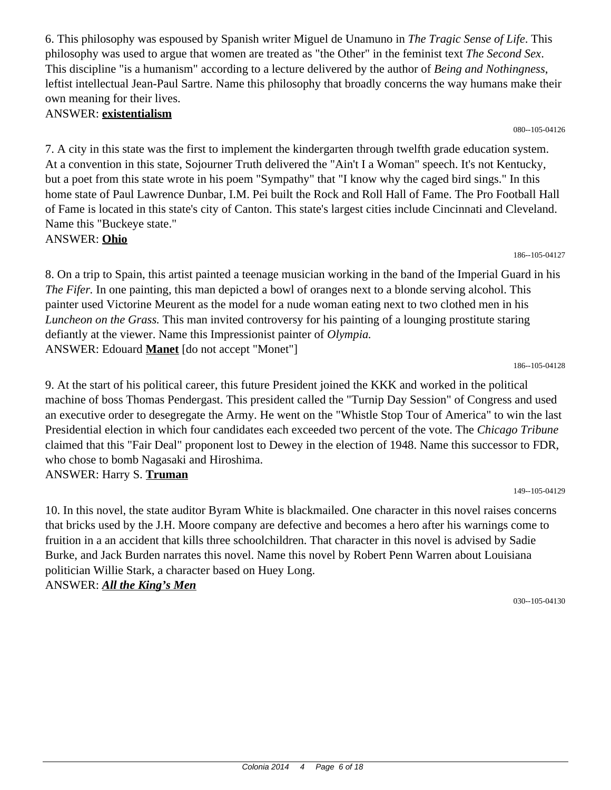6. This philosophy was espoused by Spanish writer Miguel de Unamuno in *The Tragic Sense of Life*. This philosophy was used to argue that women are treated as "the Other" in the feminist text *The Second Sex*. This discipline "is a humanism" according to a lecture delivered by the author of *Being and Nothingness*, leftist intellectual Jean-Paul Sartre. Name this philosophy that broadly concerns the way humans make their own meaning for their lives.

### ANSWER: **existentialism**

080--105-04126

7. A city in this state was the first to implement the kindergarten through twelfth grade education system. At a convention in this state, Sojourner Truth delivered the "Ain't I a Woman" speech. It's not Kentucky, but a poet from this state wrote in his poem "Sympathy" that "I know why the caged bird sings." In this home state of Paul Lawrence Dunbar, I.M. Pei built the Rock and Roll Hall of Fame. The Pro Football Hall of Fame is located in this state's city of Canton. This state's largest cities include Cincinnati and Cleveland. Name this "Buckeye state."

ANSWER: **Ohio**

186--105-04127

8. On a trip to Spain, this artist painted a teenage musician working in the band of the Imperial Guard in his *The Fifer.* In one painting, this man depicted a bowl of oranges next to a blonde serving alcohol. This painter used Victorine Meurent as the model for a nude woman eating next to two clothed men in his *Luncheon on the Grass.* This man invited controversy for his painting of a lounging prostitute staring defiantly at the viewer. Name this Impressionist painter of *Olympia.* ANSWER: Edouard **Manet** [do not accept "Monet"]

186--105-04128

9. At the start of his political career, this future President joined the KKK and worked in the political machine of boss Thomas Pendergast. This president called the "Turnip Day Session" of Congress and used an executive order to desegregate the Army. He went on the "Whistle Stop Tour of America" to win the last Presidential election in which four candidates each exceeded two percent of the vote. The *Chicago Tribune* claimed that this "Fair Deal" proponent lost to Dewey in the election of 1948. Name this successor to FDR, who chose to bomb Nagasaki and Hiroshima. ANSWER: Harry S. **Truman**

10. In this novel, the state auditor Byram White is blackmailed. One character in this novel raises concerns that bricks used by the J.H. Moore company are defective and becomes a hero after his warnings come to fruition in a an accident that kills three schoolchildren. That character in this novel is advised by Sadie Burke, and Jack Burden narrates this novel. Name this novel by Robert Penn Warren about Louisiana politician Willie Stark, a character based on Huey Long. ANSWER: *All the King's Men*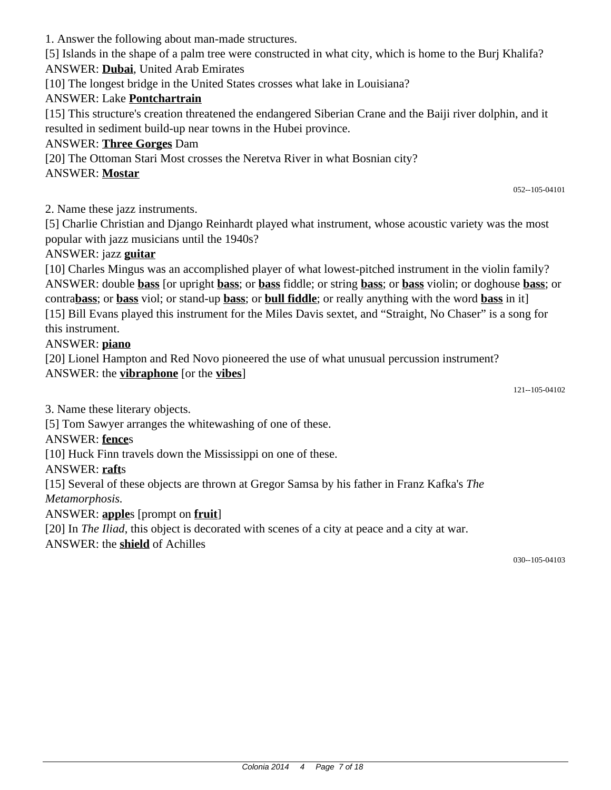1. Answer the following about man-made structures.

[5] Islands in the shape of a palm tree were constructed in what city, which is home to the Burj Khalifa? ANSWER: **Dubai**, United Arab Emirates

[10] The longest bridge in the United States crosses what lake in Louisiana?

### ANSWER: Lake **Pontchartrain**

[15] This structure's creation threatened the endangered Siberian Crane and the Baiji river dolphin, and it resulted in sediment build-up near towns in the Hubei province.

# ANSWER: **Three Gorges** Dam

[20] The Ottoman Stari Most crosses the Neretva River in what Bosnian city? ANSWER: **Mostar**

052--105-04101

2. Name these jazz instruments.

[5] Charlie Christian and Django Reinhardt played what instrument, whose acoustic variety was the most popular with jazz musicians until the 1940s?

### ANSWER: jazz **guitar**

[10] Charles Mingus was an accomplished player of what lowest-pitched instrument in the violin family? ANSWER: double **bass** [or upright **bass**; or **bass** fiddle; or string **bass**; or **bass** violin; or doghouse **bass**; or contra**bass**; or **bass** viol; or stand-up **bass**; or **bull fiddle**; or really anything with the word **bass** in it] [15] Bill Evans played this instrument for the Miles Davis sextet, and "Straight, No Chaser" is a song for this instrument.

### ANSWER: **piano**

[20] Lionel Hampton and Red Novo pioneered the use of what unusual percussion instrument? ANSWER: the **vibraphone** [or the **vibes**]

121--105-04102

3. Name these literary objects.

[5] Tom Sawyer arranges the whitewashing of one of these.

ANSWER: **fence**s

[10] Huck Finn travels down the Mississippi on one of these.

### ANSWER: **raft**s

[15] Several of these objects are thrown at Gregor Samsa by his father in Franz Kafka's *The*

*Metamorphosis.*

ANSWER: **apple**s [prompt on **fruit**]

[20] In *The Iliad*, this object is decorated with scenes of a city at peace and a city at war.

ANSWER: the **shield** of Achilles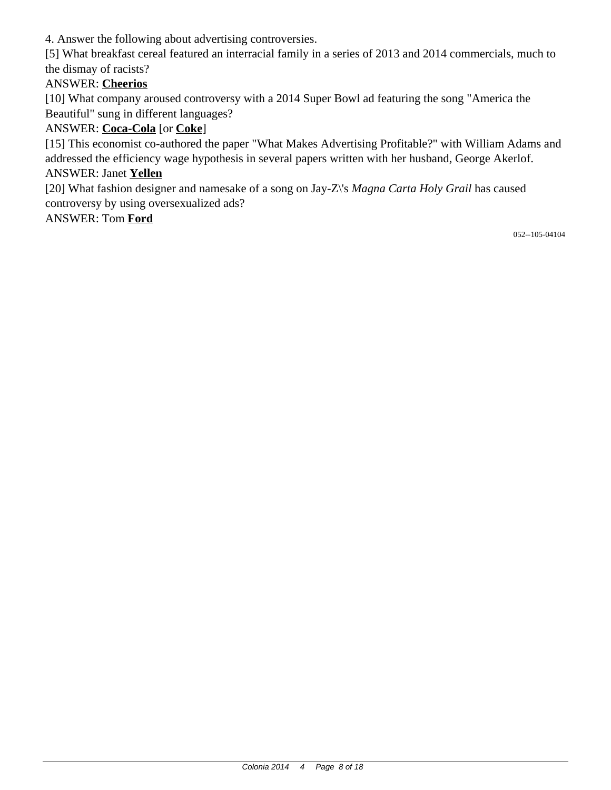4. Answer the following about advertising controversies.

[5] What breakfast cereal featured an interracial family in a series of 2013 and 2014 commercials, much to the dismay of racists?

# ANSWER: **Cheerios**

[10] What company aroused controversy with a 2014 Super Bowl ad featuring the song "America the Beautiful" sung in different languages?

# ANSWER: **Coca-Cola** [or **Coke**]

[15] This economist co-authored the paper "What Makes Advertising Profitable?" with William Adams and addressed the efficiency wage hypothesis in several papers written with her husband, George Akerlof.

### ANSWER: Janet **Yellen**

[20] What fashion designer and namesake of a song on Jay-Z\'s *Magna Carta Holy Grail* has caused controversy by using oversexualized ads?

ANSWER: Tom **Ford**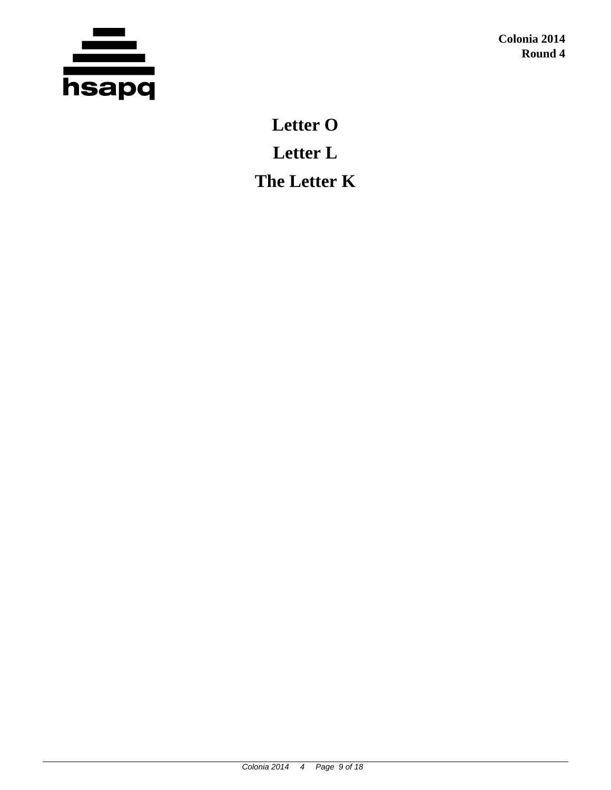

**Colonia 2014 Round 4**

**Letter O Letter L The Letter K**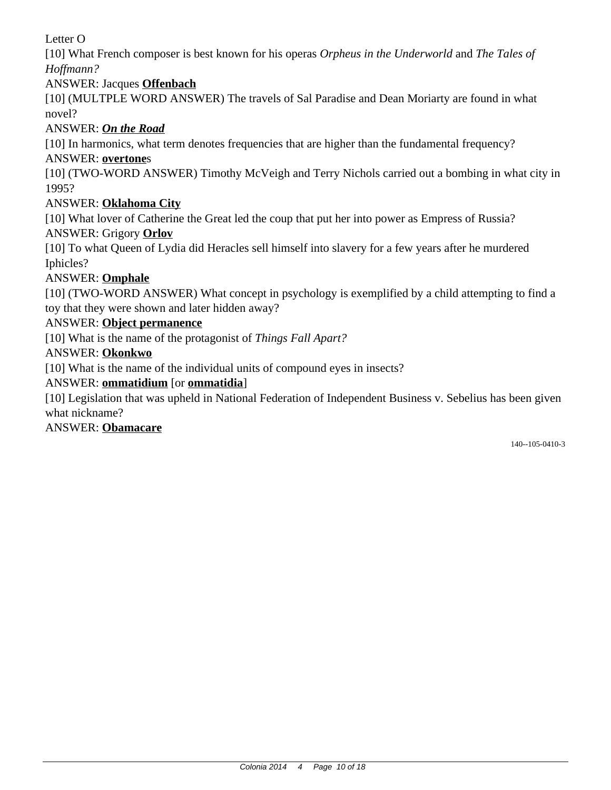# Letter O

[10] What French composer is best known for his operas *Orpheus in the Underworld* and *The Tales of Hoffmann?*

### ANSWER: Jacques **Offenbach**

[10] (MULTPLE WORD ANSWER) The travels of Sal Paradise and Dean Moriarty are found in what novel?

### ANSWER: *On the Road*

[10] In harmonics, what term denotes frequencies that are higher than the fundamental frequency?

### ANSWER: **overtone**s

[10] (TWO-WORD ANSWER) Timothy McVeigh and Terry Nichols carried out a bombing in what city in 1995?

### ANSWER: **Oklahoma City**

[10] What lover of Catherine the Great led the coup that put her into power as Empress of Russia? ANSWER: Grigory **Orlov**

[10] To what Queen of Lydia did Heracles sell himself into slavery for a few years after he murdered Iphicles?

### ANSWER: **Omphale**

[10] (TWO-WORD ANSWER) What concept in psychology is exemplified by a child attempting to find a toy that they were shown and later hidden away?

### ANSWER: **Object permanence**

[10] What is the name of the protagonist of *Things Fall Apart?*

#### ANSWER: **Okonkwo**

[10] What is the name of the individual units of compound eyes in insects?

#### ANSWER: **ommatidium** [or **ommatidia**]

[10] Legislation that was upheld in National Federation of Independent Business v. Sebelius has been given what nickname?

#### ANSWER: **Obamacare**

140--105-0410-3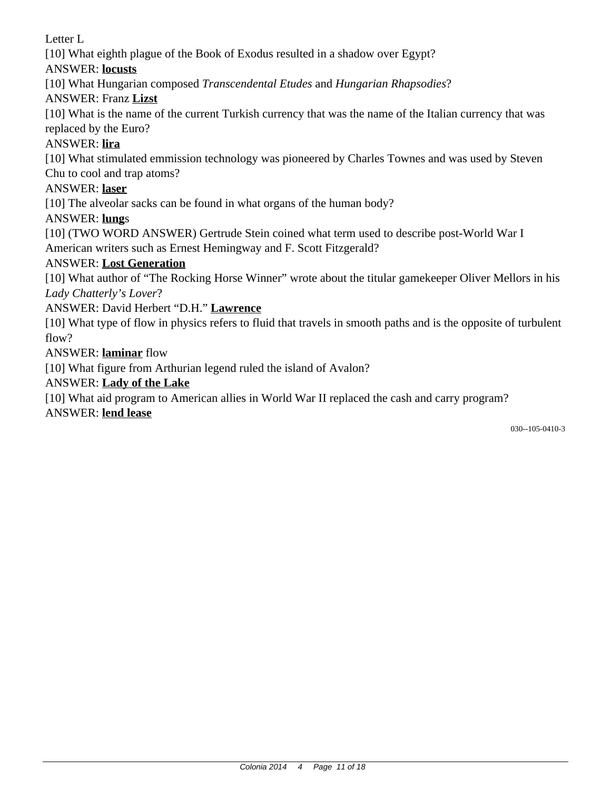Letter L

[10] What eighth plague of the Book of Exodus resulted in a shadow over Egypt?

ANSWER: **locusts**

[10] What Hungarian composed *Transcendental Etudes* and *Hungarian Rhapsodies*?

ANSWER: Franz **Lizst**

[10] What is the name of the current Turkish currency that was the name of the Italian currency that was replaced by the Euro?

# ANSWER: **lira**

[10] What stimulated emmission technology was pioneered by Charles Townes and was used by Steven Chu to cool and trap atoms?

# ANSWER: **laser**

[10] The alveolar sacks can be found in what organs of the human body?

# ANSWER: **lung**s

[10] (TWO WORD ANSWER) Gertrude Stein coined what term used to describe post-World War I American writers such as Ernest Hemingway and F. Scott Fitzgerald?

# ANSWER: **Lost Generation**

[10] What author of "The Rocking Horse Winner" wrote about the titular gamekeeper Oliver Mellors in his *Lady Chatterly's Lover*?

### ANSWER: David Herbert "D.H." **Lawrence**

[10] What type of flow in physics refers to fluid that travels in smooth paths and is the opposite of turbulent flow?

### ANSWER: **laminar** flow

[10] What figure from Arthurian legend ruled the island of Avalon?

### ANSWER: **Lady of the Lake**

[10] What aid program to American allies in World War II replaced the cash and carry program?

### ANSWER: **lend lease**

030--105-0410-3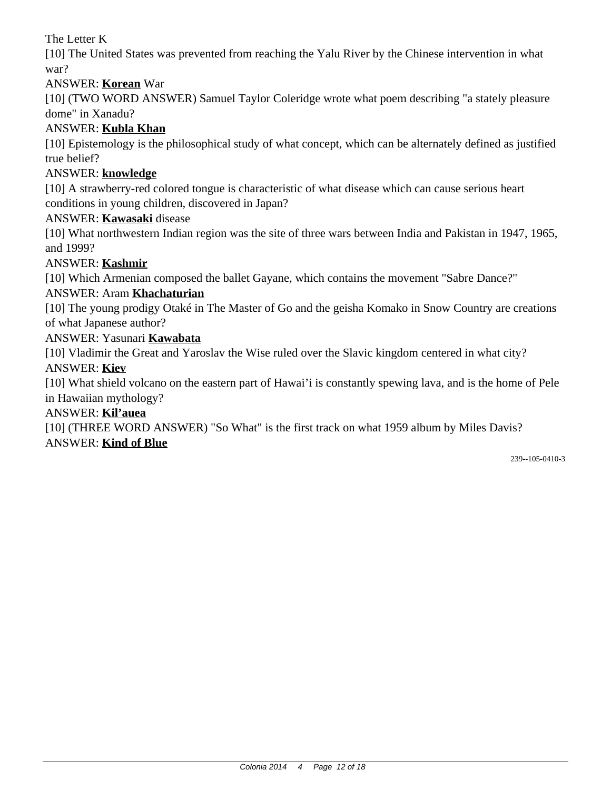The Letter K

[10] The United States was prevented from reaching the Yalu River by the Chinese intervention in what war?

### ANSWER: **Korean** War

[10] (TWO WORD ANSWER) Samuel Taylor Coleridge wrote what poem describing "a stately pleasure dome" in Xanadu?

### ANSWER: **Kubla Khan**

[10] Epistemology is the philosophical study of what concept, which can be alternately defined as justified true belief?

### ANSWER: **knowledge**

[10] A strawberry-red colored tongue is characteristic of what disease which can cause serious heart conditions in young children, discovered in Japan?

#### ANSWER: **Kawasaki** disease

[10] What northwestern Indian region was the site of three wars between India and Pakistan in 1947, 1965, and 1999?

#### ANSWER: **Kashmir**

[10] Which Armenian composed the ballet Gayane, which contains the movement "Sabre Dance?"

#### ANSWER: Aram **Khachaturian**

[10] The young prodigy Otaké in The Master of Go and the geisha Komako in Snow Country are creations of what Japanese author?

#### ANSWER: Yasunari **Kawabata**

[10] Vladimir the Great and Yaroslav the Wise ruled over the Slavic kingdom centered in what city?

### ANSWER: **Kiev**

[10] What shield volcano on the eastern part of Hawai'i is constantly spewing lava, and is the home of Pele in Hawaiian mythology?

#### ANSWER: **Kil'auea**

[10] (THREE WORD ANSWER) "So What" is the first track on what 1959 album by Miles Davis?

#### ANSWER: **Kind of Blue**

239--105-0410-3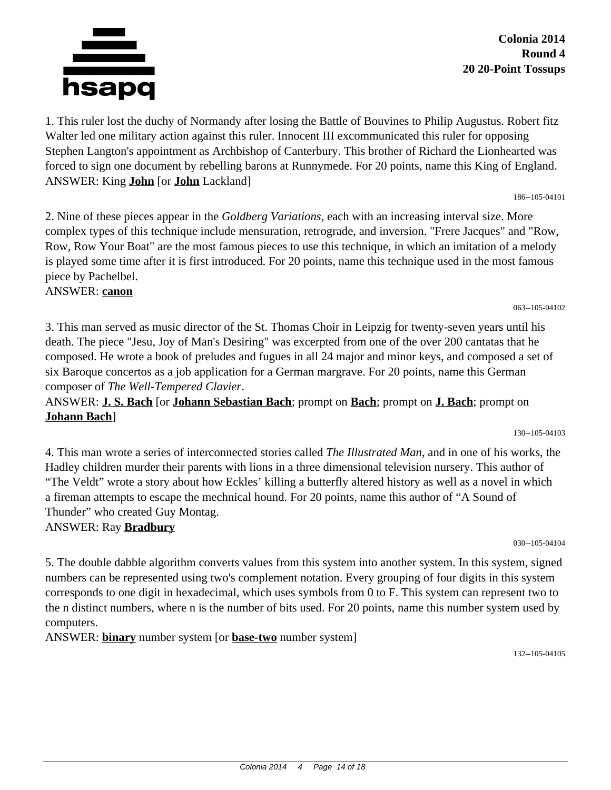

**Colonia 2014 Round 4 20 20-Point Tossups**

1. This ruler lost the duchy of Normandy after losing the Battle of Bouvines to Philip Augustus. Robert fitz Walter led one military action against this ruler. Innocent III excommunicated this ruler for opposing Stephen Langton's appointment as Archbishop of Canterbury. This brother of Richard the Lionhearted was forced to sign one document by rebelling barons at Runnymede. For 20 points, name this King of England. ANSWER: King **John** [or **John** Lackland]

186--105-04101

2. Nine of these pieces appear in the *Goldberg Variations,* each with an increasing interval size. More complex types of this technique include mensuration, retrograde, and inversion. "Frere Jacques" and "Row, Row, Row Your Boat" are the most famous pieces to use this technique, in which an imitation of a melody is played some time after it is first introduced. For 20 points, name this technique used in the most famous piece by Pachelbel.

ANSWER: **canon**

063--105-04102

3. This man served as music director of the St. Thomas Choir in Leipzig for twenty-seven years until his death. The piece "Jesu, Joy of Man's Desiring" was excerpted from one of the over 200 cantatas that he composed. He wrote a book of preludes and fugues in all 24 major and minor keys, and composed a set of six Baroque concertos as a job application for a German margrave. For 20 points, name this German composer of *The Well-Tempered Clavier*.

ANSWER: **J. S. Bach** [or **Johann Sebastian Bach**; prompt on **Bach**; prompt on **J. Bach**; prompt on **Johann Bach**]

130--105-04103

4. This man wrote a series of interconnected stories called *The Illustrated Man*, and in one of his works, the Hadley children murder their parents with lions in a three dimensional television nursery. This author of "The Veldt" wrote a story about how Eckles' killing a butterfly altered history as well as a novel in which a fireman attempts to escape the mechnical hound. For 20 points, name this author of "A Sound of Thunder" who created Guy Montag.

### ANSWER: Ray **Bradbury**

030--105-04104

5. The double dabble algorithm converts values from this system into another system. In this system, signed numbers can be represented using two's complement notation. Every grouping of four digits in this system corresponds to one digit in hexadecimal, which uses symbols from 0 to F. This system can represent two to the n distinct numbers, where n is the number of bits used. For 20 points, name this number system used by computers.

ANSWER: **binary** number system [or **base-two** number system]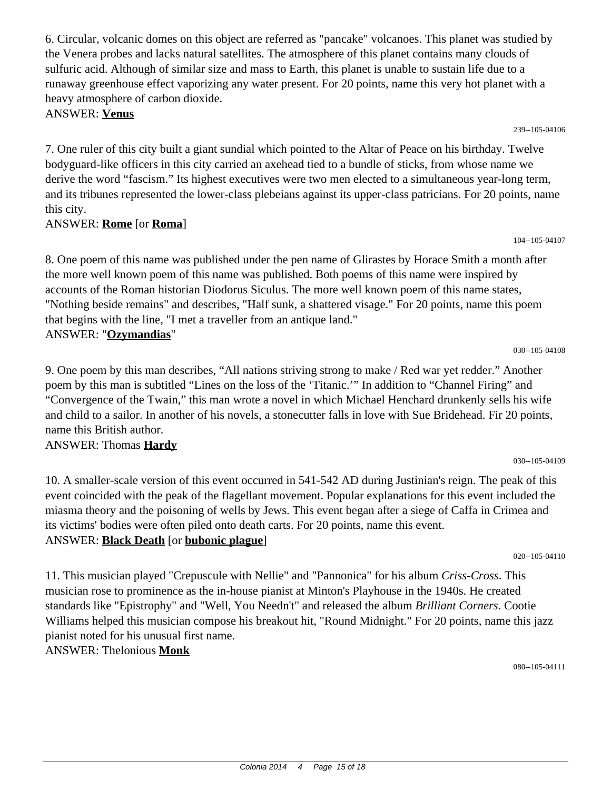6. Circular, volcanic domes on this object are referred as "pancake" volcanoes. This planet was studied by the Venera probes and lacks natural satellites. The atmosphere of this planet contains many clouds of sulfuric acid. Although of similar size and mass to Earth, this planet is unable to sustain life due to a runaway greenhouse effect vaporizing any water present. For 20 points, name this very hot planet with a heavy atmosphere of carbon dioxide.

ANSWER: **Venus**

7. One ruler of this city built a giant sundial which pointed to the Altar of Peace on his birthday. Twelve bodyguard-like officers in this city carried an axehead tied to a bundle of sticks, from whose name we derive the word "fascism." Its highest executives were two men elected to a simultaneous year-long term, and its tribunes represented the lower-class plebeians against its upper-class patricians. For 20 points, name this city.

#### ANSWER: **Rome** [or **Roma**]

8. One poem of this name was published under the pen name of Glirastes by Horace Smith a month after the more well known poem of this name was published. Both poems of this name were inspired by accounts of the Roman historian Diodorus Siculus. The more well known poem of this name states, "Nothing beside remains" and describes, "Half sunk, a shattered visage." For 20 points, name this poem that begins with the line, "I met a traveller from an antique land." ANSWER: "**Ozymandias**"

9. One poem by this man describes, "All nations striving strong to make / Red war yet redder." Another poem by this man is subtitled "Lines on the loss of the 'Titanic.'" In addition to "Channel Firing" and "Convergence of the Twain," this man wrote a novel in which Michael Henchard drunkenly sells his wife and child to a sailor. In another of his novels, a stonecutter falls in love with Sue Bridehead. Fir 20 points, name this British author.

### ANSWER: Thomas **Hardy**

10. A smaller-scale version of this event occurred in 541-542 AD during Justinian's reign. The peak of this event coincided with the peak of the flagellant movement. Popular explanations for this event included the miasma theory and the poisoning of wells by Jews. This event began after a siege of Caffa in Crimea and its victims' bodies were often piled onto death carts. For 20 points, name this event. ANSWER: **Black Death** [or **bubonic plague**]

020--105-04110

030--105-04109

11. This musician played "Crepuscule with Nellie" and "Pannonica" for his album *Criss-Cross*. This musician rose to prominence as the in-house pianist at Minton's Playhouse in the 1940s. He created standards like "Epistrophy" and "Well, You Needn't" and released the album *Brilliant Corners*. Cootie Williams helped this musician compose his breakout hit, "Round Midnight." For 20 points, name this jazz pianist noted for his unusual first name. ANSWER: Thelonious **Monk**

080--105-04111

104--105-04107

239--105-04106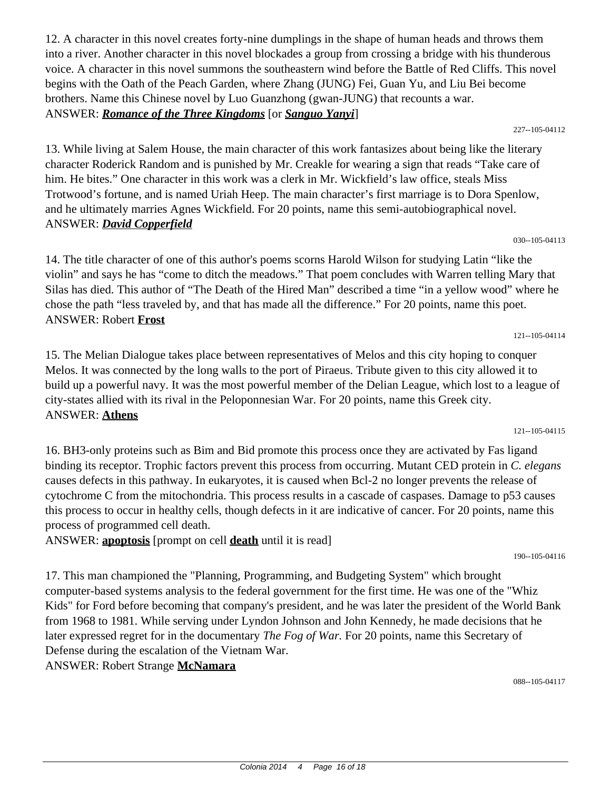12. A character in this novel creates forty-nine dumplings in the shape of human heads and throws them into a river. Another character in this novel blockades a group from crossing a bridge with his thunderous voice. A character in this novel summons the southeastern wind before the Battle of Red Cliffs. This novel begins with the Oath of the Peach Garden, where Zhang (JUNG) Fei, Guan Yu, and Liu Bei become brothers. Name this Chinese novel by Luo Guanzhong (gwan-JUNG) that recounts a war. ANSWER: *Romance of the Three Kingdoms* [or *Sanguo Yanyi*]

227--105-04112

030--105-04113

13. While living at Salem House, the main character of this work fantasizes about being like the literary character Roderick Random and is punished by Mr. Creakle for wearing a sign that reads "Take care of him. He bites." One character in this work was a clerk in Mr. Wickfield's law office, steals Miss Trotwood's fortune, and is named Uriah Heep. The main character's first marriage is to Dora Spenlow, and he ultimately marries Agnes Wickfield. For 20 points, name this semi-autobiographical novel. ANSWER: *David Copperfield*

14. The title character of one of this author's poems scorns Harold Wilson for studying Latin "like the violin" and says he has "come to ditch the meadows." That poem concludes with Warren telling Mary that Silas has died. This author of "The Death of the Hired Man" described a time "in a yellow wood" where he chose the path "less traveled by, and that has made all the difference." For 20 points, name this poet. ANSWER: Robert **Frost**

15. The Melian Dialogue takes place between representatives of Melos and this city hoping to conquer Melos. It was connected by the long walls to the port of Piraeus. Tribute given to this city allowed it to build up a powerful navy. It was the most powerful member of the Delian League, which lost to a league of city-states allied with its rival in the Peloponnesian War. For 20 points, name this Greek city. ANSWER: **Athens**

16. BH3-only proteins such as Bim and Bid promote this process once they are activated by Fas ligand binding its receptor. Trophic factors prevent this process from occurring. Mutant CED protein in *C. elegans* causes defects in this pathway. In eukaryotes, it is caused when Bcl-2 no longer prevents the release of cytochrome C from the mitochondria. This process results in a cascade of caspases. Damage to p53 causes this process to occur in healthy cells, though defects in it are indicative of cancer. For 20 points, name this process of programmed cell death.

ANSWER: **apoptosis** [prompt on cell **death** until it is read]

17. This man championed the "Planning, Programming, and Budgeting System" which brought computer-based systems analysis to the federal government for the first time. He was one of the "Whiz Kids" for Ford before becoming that company's president, and he was later the president of the World Bank from 1968 to 1981. While serving under Lyndon Johnson and John Kennedy, he made decisions that he later expressed regret for in the documentary *The Fog of War.* For 20 points, name this Secretary of Defense during the escalation of the Vietnam War.

ANSWER: Robert Strange **McNamara**

088--105-04117

121--105-04114

121--105-04115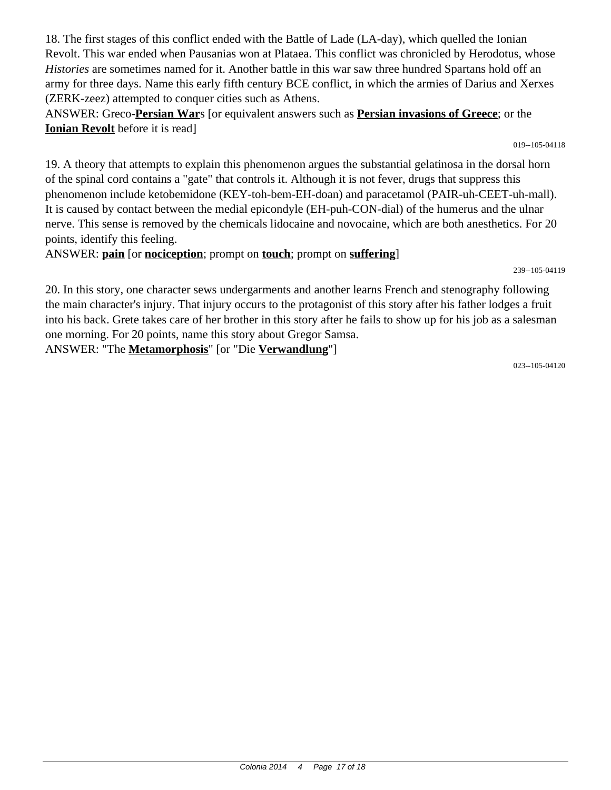18. The first stages of this conflict ended with the Battle of Lade (LA-day), which quelled the Ionian Revolt. This war ended when Pausanias won at Plataea. This conflict was chronicled by Herodotus, whose *Histories* are sometimes named for it. Another battle in this war saw three hundred Spartans hold off an army for three days. Name this early fifth century BCE conflict, in which the armies of Darius and Xerxes (ZERK-zeez) attempted to conquer cities such as Athens.

ANSWER: Greco-**Persian War**s [or equivalent answers such as **Persian invasions of Greece**; or the **Ionian Revolt** before it is read]

019--105-04118

19. A theory that attempts to explain this phenomenon argues the substantial gelatinosa in the dorsal horn of the spinal cord contains a "gate" that controls it. Although it is not fever, drugs that suppress this phenomenon include ketobemidone (KEY-toh-bem-EH-doan) and paracetamol (PAIR-uh-CEET-uh-mall). It is caused by contact between the medial epicondyle (EH-puh-CON-dial) of the humerus and the ulnar nerve. This sense is removed by the chemicals lidocaine and novocaine, which are both anesthetics. For 20 points, identify this feeling.

ANSWER: **pain** [or **nociception**; prompt on **touch**; prompt on **suffering**]

239--105-04119

20. In this story, one character sews undergarments and another learns French and stenography following the main character's injury. That injury occurs to the protagonist of this story after his father lodges a fruit into his back. Grete takes care of her brother in this story after he fails to show up for his job as a salesman one morning. For 20 points, name this story about Gregor Samsa.

ANSWER: "The **Metamorphosis**" [or "Die **Verwandlung**"]